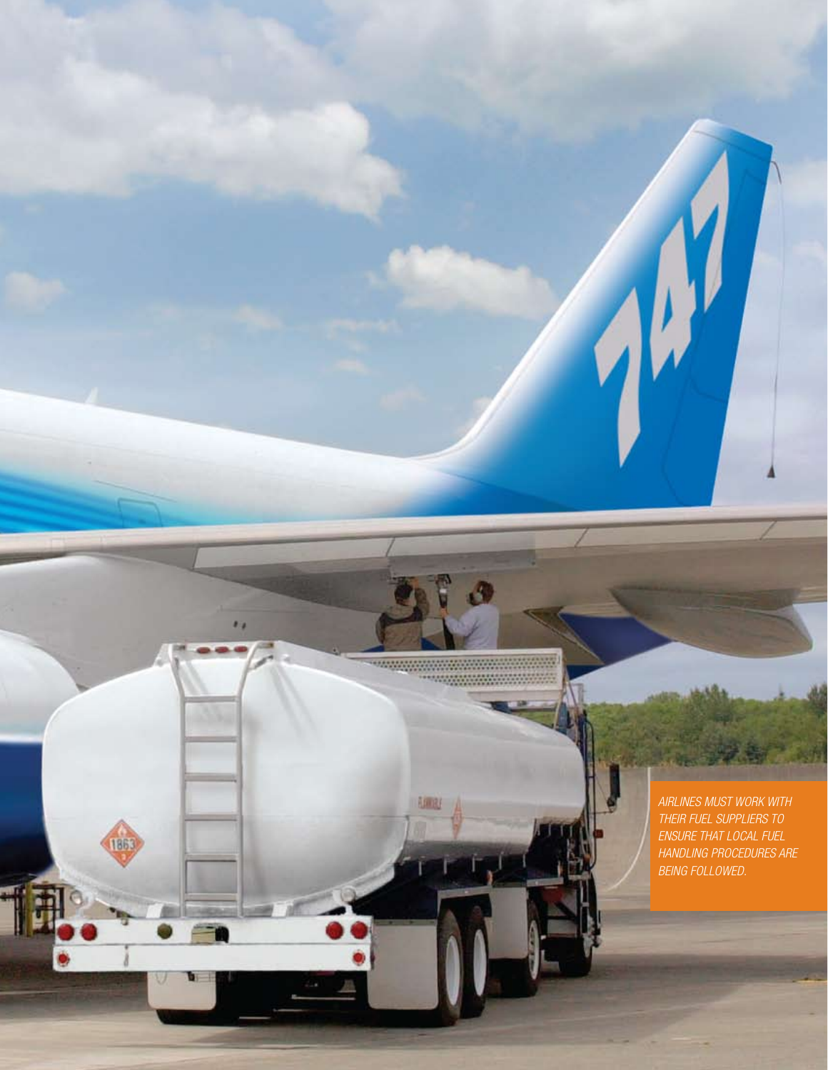**Amas** 

 $\bullet$ 

1863

*Airlines must work with their fuel suppliers to ensure that local fuel handling procedures are being followed.*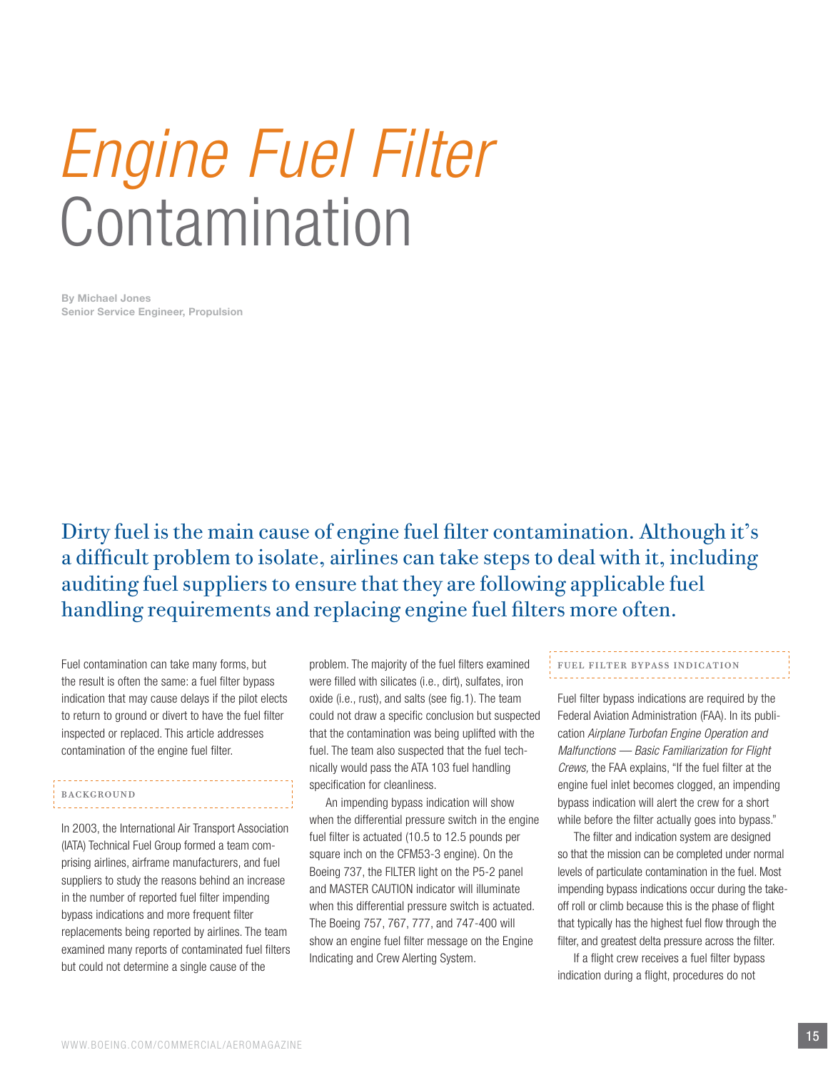# *Engine Fuel Filter* Contamination

By Michael Jones Senior Service Engineer, Propulsion

Dirty fuel is the main cause of engine fuel filter contamination. Although it's a difficult problem to isolate, airlines can take steps to deal with it, including auditing fuel suppliers to ensure that they are following applicable fuel handling requirements and replacing engine fuel filters more often.

Fuel contamination can take many forms, but the result is often the same: a fuel filter bypass indication that may cause delays if the pilot elects to return to ground or divert to have the fuel filter inspected or replaced. This article addresses contamination of the engine fuel filter.

### Background

In 2003, the International Air Transport Association (IATA) Technical Fuel Group formed a team comprising airlines, airframe manufacturers, and fuel suppliers to study the reasons behind an increase in the number of reported fuel filter impending bypass indications and more frequent filter replacements being reported by airlines. The team examined many reports of contaminated fuel filters but could not determine a single cause of the

problem. The majority of the fuel filters examined were filled with silicates (i.e., dirt), sulfates, iron oxide (i.e., rust), and salts (see fig.1). The team could not draw a specific conclusion but suspected that the contamination was being uplifted with the fuel. The team also suspected that the fuel technically would pass the ATA 103 fuel handling specification for cleanliness.

An impending bypass indication will show when the differential pressure switch in the engine fuel filter is actuated (10.5 to 12.5 pounds per square inch on the CFM53-3 engine). On the Boeing 737, the FILTER light on the P5-2 panel and MASTER CAUTION indicator will illuminate when this differential pressure switch is actuated. The Boeing 757, 767, 777, and 747-400 will show an engine fuel filter message on the Engine Indicating and Crew Alerting System.

## Fuel Filter Bypass indication

Fuel filter bypass indications are required by the Federal Aviation Administration (FAA). In its publication *Airplane Turbofan Engine Operation and Malfunctions — Basic Familiarization for Flight Crews,* the FAA explains, "If the fuel filter at the engine fuel inlet becomes clogged, an impending bypass indication will alert the crew for a short while before the filter actually goes into bypass."

The filter and indication system are designed so that the mission can be completed under normal levels of particulate contamination in the fuel. Most impending bypass indications occur during the takeoff roll or climb because this is the phase of flight that typically has the highest fuel flow through the filter, and greatest delta pressure across the filter.

If a flight crew receives a fuel filter bypass indication during a flight, procedures do not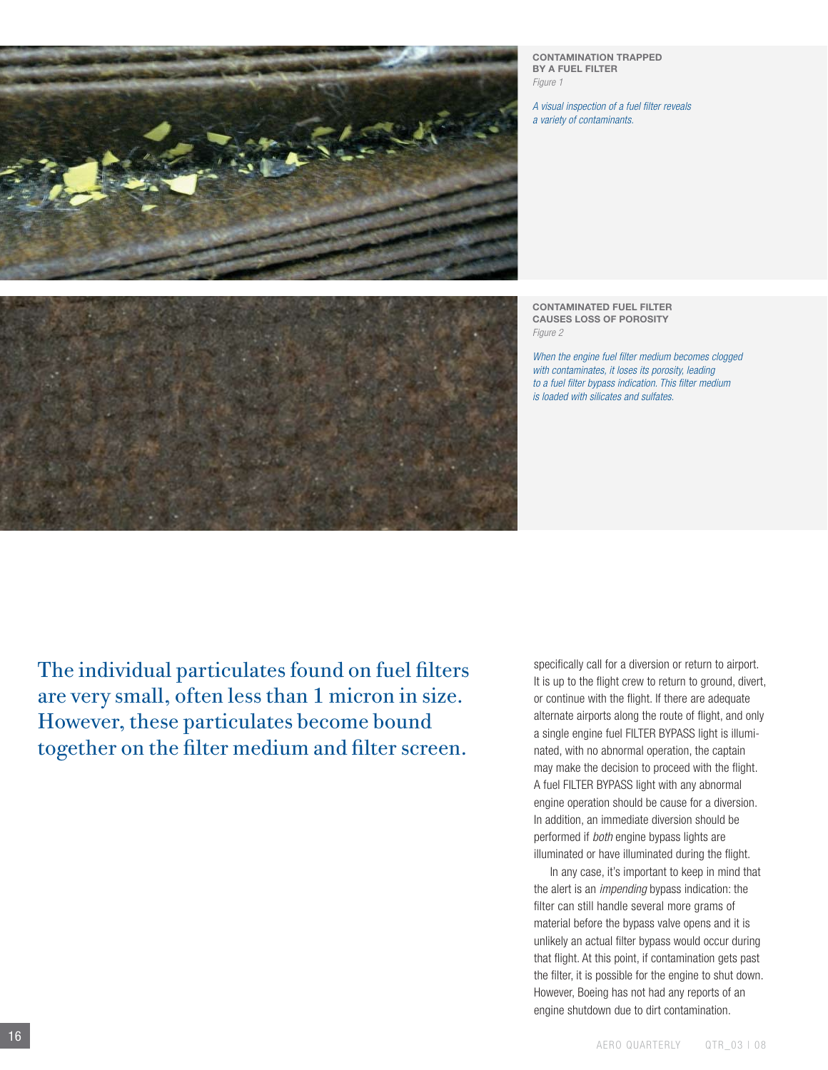CONTAMINATION TRAPPED BY A FUEL FILTER *Figure 1*

*A visual inspection of a fuel filter reveals a variety of contaminants.*

CONTAMINATed FUEL FILTER causes loss of porosity *Figure 2*

*When the engine fuel filter medium becomes clogged with contaminates, it loses its porosity, leading to a fuel filter bypass indication. This filter medium is loaded with silicates and sulfates.*

The individual particulates found on fuel filters are very small, often less than 1 micron in size. However, these particulates become bound together on the filter medium and filter screen.

specifically call for a diversion or return to airport. It is up to the flight crew to return to ground, divert, or continue with the flight. If there are adequate alternate airports along the route of flight, and only a single engine fuel FILTER BYPASS light is illuminated, with no abnormal operation, the captain may make the decision to proceed with the flight. A fuel FILTER BYPASS light with any abnormal engine operation should be cause for a diversion. In addition, an immediate diversion should be performed if *both* engine bypass lights are illuminated or have illuminated during the flight.

In any case, it's important to keep in mind that the alert is an *impending* bypass indication: the filter can still handle several more grams of material before the bypass valve opens and it is unlikely an actual filter bypass would occur during that flight. At this point, if contamination gets past the filter, it is possible for the engine to shut down. However, Boeing has not had any reports of an engine shutdown due to dirt contamination.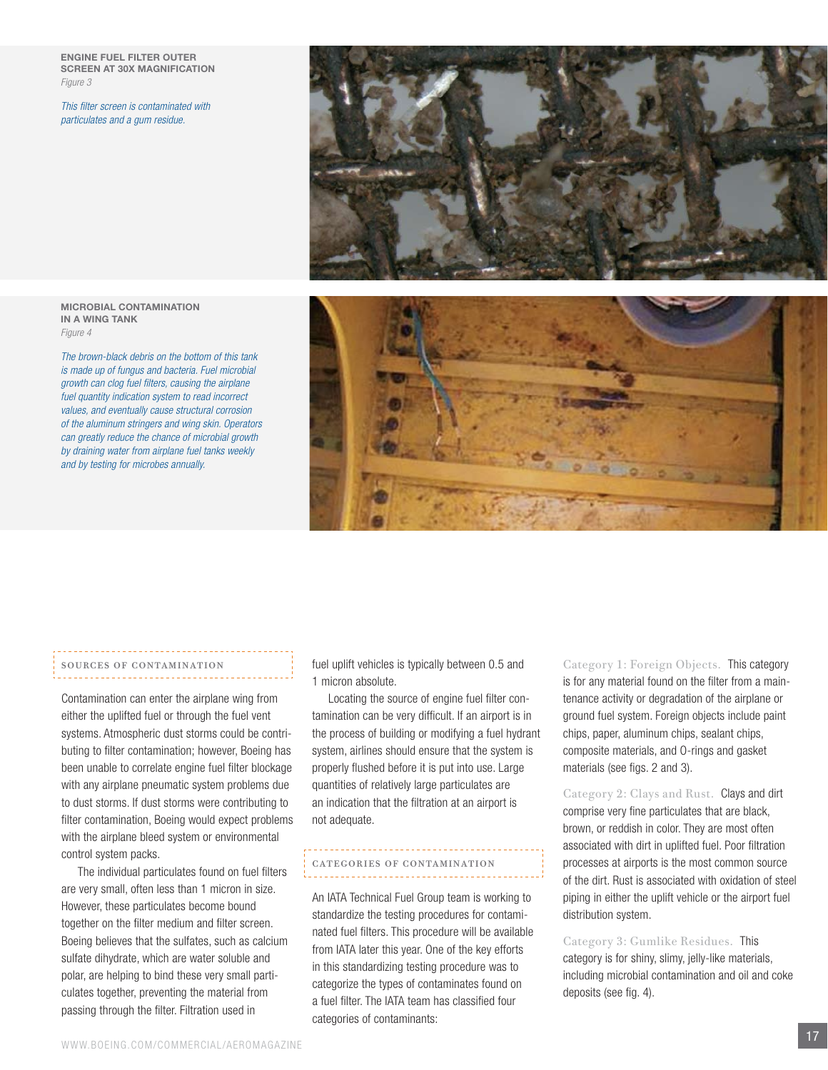Engine fuel filter outer screen at 30X magnification *Figure 3*

*This filter screen is contaminated with particulates and a gum residue.*



#### MICROBIAL CONTAMINATION IN A WING TANK *Figure 4*

*The brown-black debris on the bottom of this tank is made up of fungus and bacteria. Fuel microbial growth can clog fuel filters, causing the airplane fuel quantity indication system to read incorrect values, and eventually cause structural corrosion of the aluminum stringers and wing skin. Operators can greatly reduce the chance of microbial growth by draining water from airplane fuel tanks weekly and by testing for microbes annually.*



# Sources of contamination

Contamination can enter the airplane wing from either the uplifted fuel or through the fuel vent systems. Atmospheric dust storms could be contributing to filter contamination; however, Boeing has been unable to correlate engine fuel filter blockage with any airplane pneumatic system problems due to dust storms. If dust storms were contributing to filter contamination, Boeing would expect problems with the airplane bleed system or environmental control system packs.

The individual particulates found on fuel filters are very small, often less than 1 micron in size. However, these particulates become bound together on the filter medium and filter screen. Boeing believes that the sulfates, such as calcium sulfate dihydrate, which are water soluble and polar, are helping to bind these very small particulates together, preventing the material from passing through the filter. Filtration used in

fuel uplift vehicles is typically between 0.5 and 1 micron absolute.

Locating the source of engine fuel filter contamination can be very difficult. If an airport is in the process of building or modifying a fuel hydrant system, airlines should ensure that the system is properly flushed before it is put into use. Large quantities of relatively large particulates are an indication that the filtration at an airport is not adequate.

# Categories of contamination

An IATA Technical Fuel Group team is working to standardize the testing procedures for contaminated fuel filters. This procedure will be available from IATA later this year. One of the key efforts in this standardizing testing procedure was to categorize the types of contaminates found on a fuel filter. The IATA team has classified four categories of contaminants:

Category 1: Foreign Objects. This category is for any material found on the filter from a maintenance activity or degradation of the airplane or ground fuel system. Foreign objects include paint chips, paper, aluminum chips, sealant chips, composite materials, and O-rings and gasket materials (see figs. 2 and 3).

Category 2: Clays and Rust. Clays and dirt comprise very fine particulates that are black, brown, or reddish in color. They are most often associated with dirt in uplifted fuel. Poor filtration processes at airports is the most common source of the dirt. Rust is associated with oxidation of steel piping in either the uplift vehicle or the airport fuel distribution system.

Category 3: Gumlike Residues. This category is for shiny, slimy, jelly-like materials, including microbial contamination and oil and coke deposits (see fig. 4).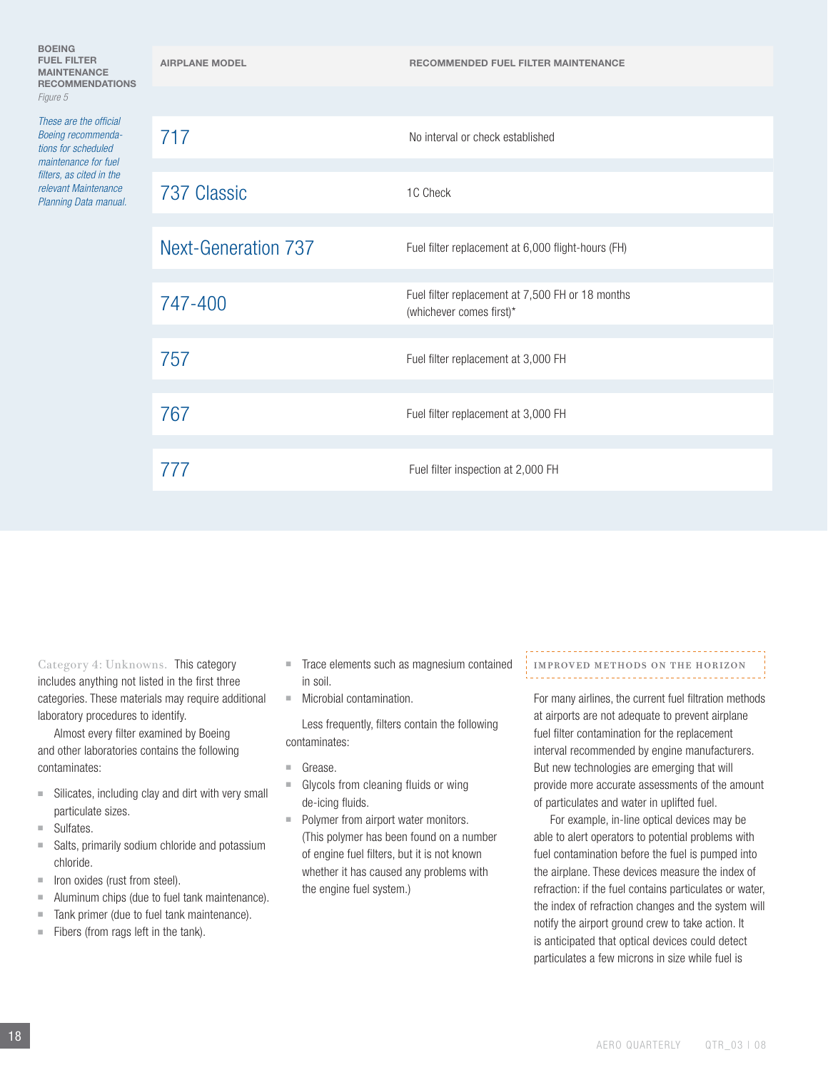| <b>FUEL FILTER</b><br><b>MAINTENANCE</b><br><b>RECOMMENDATIONS</b><br>Figure 5                                                                                           | <b>AIRPLANE MODEL</b>      | <b>RECOMMENDED FUEL FILTER MAINTENANCE</b>                                   |
|--------------------------------------------------------------------------------------------------------------------------------------------------------------------------|----------------------------|------------------------------------------------------------------------------|
|                                                                                                                                                                          |                            |                                                                              |
| These are the official<br>Boeing recommenda-<br>tions for scheduled<br>maintenance for fuel<br>filters, as cited in the<br>relevant Maintenance<br>Planning Data manual. | 717                        | No interval or check established                                             |
|                                                                                                                                                                          | 737 Classic                | 1C Check                                                                     |
|                                                                                                                                                                          | <b>Next-Generation 737</b> | Fuel filter replacement at 6,000 flight-hours (FH)                           |
|                                                                                                                                                                          | 747-400                    | Fuel filter replacement at 7,500 FH or 18 months<br>(whichever comes first)* |
|                                                                                                                                                                          | 757                        | Fuel filter replacement at 3,000 FH                                          |
|                                                                                                                                                                          | 767                        | Fuel filter replacement at 3,000 FH                                          |
|                                                                                                                                                                          | 777                        | Fuel filter inspection at 2,000 FH                                           |
|                                                                                                                                                                          |                            |                                                                              |

Category 4: Unknowns. This category includes anything not listed in the first three categories. These materials may require additional laboratory procedures to identify.

Almost every filter examined by Boeing and other laboratories contains the following contaminates:

- $\blacksquare$  Silicates, including clay and dirt with very small particulate sizes.
- $\blacksquare$  Sulfates.

BOEING

*Figure 5*

- s Salts, primarily sodium chloride and potassium chloride.
- $\blacksquare$  Iron oxides (rust from steel).
- $\blacksquare$  Aluminum chips (due to fuel tank maintenance).
- Tank primer (due to fuel tank maintenance).
- $\blacksquare$  Fibers (from rags left in the tank).
- Trace elements such as magnesium contained in soil.
- $\blacksquare$  Microbial contamination.

Less frequently, filters contain the following contaminates:

- Grease.
- $\blacksquare$  Glycols from cleaning fluids or wing de-icing fluids.
- Polymer from airport water monitors. (This polymer has been found on a number of engine fuel filters, but it is not known whether it has caused any problems with the engine fuel system.)

# Improved methods on the horizon

For many airlines, the current fuel filtration methods at airports are not adequate to prevent airplane fuel filter contamination for the replacement interval recommended by engine manufacturers. But new technologies are emerging that will provide more accurate assessments of the amount of particulates and water in uplifted fuel.

For example, in-line optical devices may be able to alert operators to potential problems with fuel contamination before the fuel is pumped into the airplane. These devices measure the index of refraction: if the fuel contains particulates or water, the index of refraction changes and the system will notify the airport ground crew to take action. It is anticipated that optical devices could detect particulates a few microns in size while fuel is